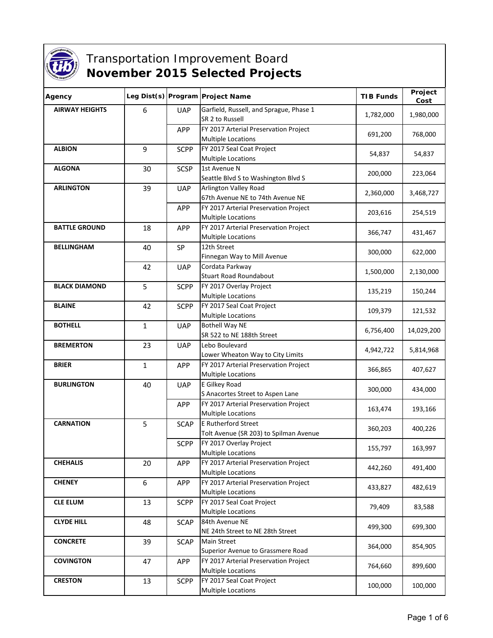

## **Transportation Improvement Board November 2015 Selected Projects**

| Agency                |              |             | Leg Dist(s) Program Project Name                                   | <b>TIB Funds</b> | Project<br>Cost |
|-----------------------|--------------|-------------|--------------------------------------------------------------------|------------------|-----------------|
| <b>AIRWAY HEIGHTS</b> | 6            | <b>UAP</b>  | Garfield, Russell, and Sprague, Phase 1<br>SR 2 to Russell         | 1,782,000        | 1,980,000       |
|                       |              | APP         | FY 2017 Arterial Preservation Project<br><b>Multiple Locations</b> | 691,200          | 768,000         |
| <b>ALBION</b>         | 9            | <b>SCPP</b> | FY 2017 Seal Coat Project<br><b>Multiple Locations</b>             | 54,837           | 54,837          |
| <b>ALGONA</b>         | 30           | <b>SCSP</b> | 1st Avenue N<br>Seattle Blvd S to Washington Blvd S                | 200,000          | 223,064         |
| <b>ARLINGTON</b>      | 39           | <b>UAP</b>  | Arlington Valley Road<br>67th Avenue NE to 74th Avenue NE          | 2,360,000        | 3,468,727       |
|                       |              | APP         | FY 2017 Arterial Preservation Project<br><b>Multiple Locations</b> | 203,616          | 254,519         |
| <b>BATTLE GROUND</b>  | 18           | <b>APP</b>  | FY 2017 Arterial Preservation Project<br><b>Multiple Locations</b> | 366,747          | 431,467         |
| <b>BELLINGHAM</b>     | 40           | SP          | 12th Street<br>Finnegan Way to Mill Avenue                         | 300,000          | 622,000         |
|                       | 42           | <b>UAP</b>  | Cordata Parkway<br><b>Stuart Road Roundabout</b>                   | 1,500,000        | 2,130,000       |
| <b>BLACK DIAMOND</b>  | 5            | <b>SCPP</b> | FY 2017 Overlay Project<br><b>Multiple Locations</b>               | 135,219          | 150,244         |
| <b>BLAINE</b>         | 42           | <b>SCPP</b> | FY 2017 Seal Coat Project<br><b>Multiple Locations</b>             | 109,379          | 121,532         |
| <b>BOTHELL</b>        | $\mathbf{1}$ | <b>UAP</b>  | <b>Bothell Way NE</b><br>SR 522 to NE 188th Street                 | 6,756,400        | 14,029,200      |
| <b>BREMERTON</b>      | 23           | <b>UAP</b>  | Lebo Boulevard<br>Lower Wheaton Way to City Limits                 | 4,942,722        | 5,814,968       |
| <b>BRIER</b>          | $\mathbf{1}$ | <b>APP</b>  | FY 2017 Arterial Preservation Project<br><b>Multiple Locations</b> | 366,865          | 407,627         |
| <b>BURLINGTON</b>     | 40           | <b>UAP</b>  | E Gilkey Road<br>S Anacortes Street to Aspen Lane                  | 300,000          | 434,000         |
|                       |              | <b>APP</b>  | FY 2017 Arterial Preservation Project<br><b>Multiple Locations</b> | 163,474          | 193,166         |
| <b>CARNATION</b>      | 5            | <b>SCAP</b> | E Rutherford Street<br>Tolt Avenue (SR 203) to Spilman Avenue      | 360,203          | 400,226         |
|                       |              | <b>SCPP</b> | FY 2017 Overlay Project<br><b>Multiple Locations</b>               | 155,797          | 163,997         |
| <b>CHEHALIS</b>       | 20           | APP         | FY 2017 Arterial Preservation Project<br><b>Multiple Locations</b> | 442,260          | 491,400         |
| <b>CHENEY</b>         | 6            | <b>APP</b>  | FY 2017 Arterial Preservation Project<br>Multiple Locations        | 433,827          | 482,619         |
| <b>CLE ELUM</b>       | 13           | <b>SCPP</b> | FY 2017 Seal Coat Project<br><b>Multiple Locations</b>             | 79,409           | 83,588          |
| <b>CLYDE HILL</b>     | 48           | <b>SCAP</b> | 84th Avenue NE<br>NE 24th Street to NE 28th Street                 | 499,300          | 699,300         |
| <b>CONCRETE</b>       | 39           | <b>SCAP</b> | <b>Main Street</b><br>Superior Avenue to Grassmere Road            | 364,000          | 854,905         |
| <b>COVINGTON</b>      | 47           | APP         | FY 2017 Arterial Preservation Project<br><b>Multiple Locations</b> | 764,660          | 899,600         |
| <b>CRESTON</b>        | 13           | <b>SCPP</b> | FY 2017 Seal Coat Project<br><b>Multiple Locations</b>             | 100,000          | 100,000         |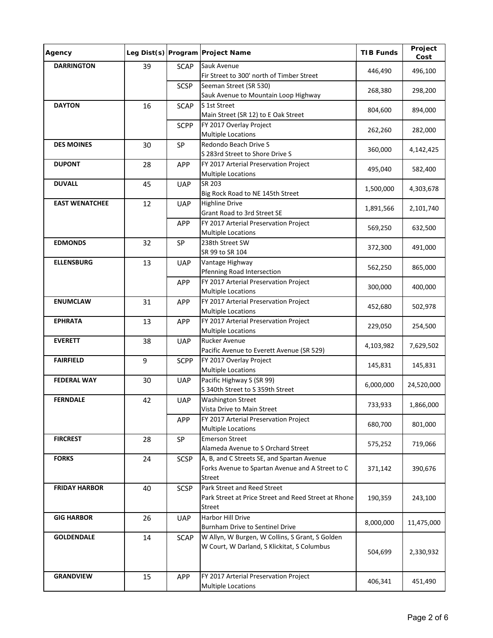| Agency                |    |             | Leg Dist(s) Program Project Name                                                                         | <b>TIB Funds</b> | Project<br>Cost |
|-----------------------|----|-------------|----------------------------------------------------------------------------------------------------------|------------------|-----------------|
| <b>DARRINGTON</b>     | 39 | <b>SCAP</b> | Sauk Avenue<br>Fir Street to 300' north of Timber Street                                                 | 446,490          | 496,100         |
|                       |    | <b>SCSP</b> | Seeman Street (SR 530)<br>Sauk Avenue to Mountain Loop Highway                                           | 268,380          | 298,200         |
| <b>DAYTON</b>         | 16 | <b>SCAP</b> | S 1st Street<br>Main Street (SR 12) to E Oak Street                                                      | 804,600          | 894,000         |
|                       |    | <b>SCPP</b> | FY 2017 Overlay Project<br><b>Multiple Locations</b>                                                     | 262,260          | 282,000         |
| <b>DES MOINES</b>     | 30 | SP          | Redondo Beach Drive S<br>S 283rd Street to Shore Drive S                                                 | 360,000          | 4,142,425       |
| <b>DUPONT</b>         | 28 | <b>APP</b>  | FY 2017 Arterial Preservation Project<br><b>Multiple Locations</b>                                       | 495,040          | 582,400         |
| <b>DUVALL</b>         | 45 | <b>UAP</b>  | SR 203<br>Big Rock Road to NE 145th Street                                                               | 1,500,000        | 4,303,678       |
| <b>EAST WENATCHEE</b> | 12 | <b>UAP</b>  | <b>Highline Drive</b><br>Grant Road to 3rd Street SE                                                     | 1,891,566        | 2,101,740       |
|                       |    | <b>APP</b>  | FY 2017 Arterial Preservation Project<br><b>Multiple Locations</b>                                       | 569,250          | 632,500         |
| <b>EDMONDS</b>        | 32 | SP          | 238th Street SW<br>SR 99 to SR 104                                                                       | 372,300          | 491,000         |
| <b>ELLENSBURG</b>     | 13 | <b>UAP</b>  | Vantage Highway<br>Pfenning Road Intersection                                                            | 562,250          | 865,000         |
|                       |    | APP         | FY 2017 Arterial Preservation Project<br><b>Multiple Locations</b>                                       | 300,000          | 400,000         |
| <b>ENUMCLAW</b>       | 31 | APP         | FY 2017 Arterial Preservation Project<br><b>Multiple Locations</b>                                       | 452,680          | 502,978         |
| <b>EPHRATA</b>        | 13 | <b>APP</b>  | FY 2017 Arterial Preservation Project<br><b>Multiple Locations</b>                                       | 229,050          | 254,500         |
| <b>EVERETT</b>        | 38 | <b>UAP</b>  | <b>Rucker Avenue</b><br>Pacific Avenue to Everett Avenue (SR 529)                                        | 4,103,982        | 7,629,502       |
| <b>FAIRFIELD</b>      | 9  | <b>SCPP</b> | FY 2017 Overlay Project<br><b>Multiple Locations</b>                                                     | 145,831          | 145,831         |
| <b>FEDERAL WAY</b>    | 30 | <b>UAP</b>  | Pacific Highway S (SR 99)<br>S 340th Street to S 359th Street                                            | 6,000,000        | 24,520,000      |
| <b>FERNDALE</b>       | 42 | <b>UAP</b>  | Washington Street<br>Vista Drive to Main Street                                                          | 733,933          | 1,866,000       |
|                       |    | <b>APP</b>  | FY 2017 Arterial Preservation Project<br><b>Multiple Locations</b>                                       | 680,700          | 801,000         |
| <b>FIRCREST</b>       | 28 | SP          | <b>Emerson Street</b><br>Alameda Avenue to S Orchard Street                                              | 575,252          | 719,066         |
| <b>FORKS</b>          | 24 | <b>SCSP</b> | A, B, and C Streets SE, and Spartan Avenue<br>Forks Avenue to Spartan Avenue and A Street to C<br>Street | 371,142          | 390,676         |
| <b>FRIDAY HARBOR</b>  | 40 | <b>SCSP</b> | Park Street and Reed Street<br>Park Street at Price Street and Reed Street at Rhone<br>Street            | 190,359          | 243,100         |
| <b>GIG HARBOR</b>     | 26 | <b>UAP</b>  | Harbor Hill Drive<br>Burnham Drive to Sentinel Drive                                                     | 8,000,000        | 11,475,000      |
| <b>GOLDENDALE</b>     | 14 | <b>SCAP</b> | W Allyn, W Burgen, W Collins, S Grant, S Golden<br>W Court, W Darland, S Klickitat, S Columbus           | 504,699          | 2,330,932       |
| <b>GRANDVIEW</b>      | 15 | <b>APP</b>  | FY 2017 Arterial Preservation Project<br>Multiple Locations                                              | 406,341          | 451,490         |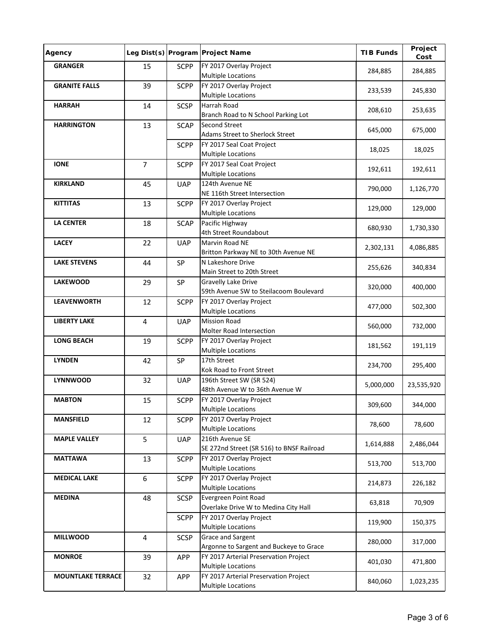| Agency                   |                |             | Leg Dist(s) Program Project Name                                   | <b>TIB Funds</b> | Project<br>Cost |
|--------------------------|----------------|-------------|--------------------------------------------------------------------|------------------|-----------------|
| <b>GRANGER</b>           | 15             | <b>SCPP</b> | FY 2017 Overlay Project<br><b>Multiple Locations</b>               | 284,885          | 284,885         |
| <b>GRANITE FALLS</b>     | 39             | <b>SCPP</b> | FY 2017 Overlay Project<br><b>Multiple Locations</b>               | 233,539          | 245,830         |
| <b>HARRAH</b>            | 14             | <b>SCSP</b> | Harrah Road<br>Branch Road to N School Parking Lot                 | 208,610          | 253,635         |
| <b>HARRINGTON</b>        | 13             | <b>SCAP</b> | <b>Second Street</b><br>Adams Street to Sherlock Street            | 645,000          | 675,000         |
|                          |                | <b>SCPP</b> | FY 2017 Seal Coat Project<br><b>Multiple Locations</b>             | 18,025           | 18,025          |
| <b>IONE</b>              | $\overline{7}$ | <b>SCPP</b> | FY 2017 Seal Coat Project<br>Multiple Locations                    | 192,611          | 192,611         |
| <b>KIRKLAND</b>          | 45             | <b>UAP</b>  | 124th Avenue NE<br>NE 116th Street Intersection                    | 790,000          | 1,126,770       |
| <b>KITTITAS</b>          | 13             | <b>SCPP</b> | FY 2017 Overlay Project<br><b>Multiple Locations</b>               | 129,000          | 129,000         |
| <b>LA CENTER</b>         | 18             | <b>SCAP</b> | Pacific Highway<br>4th Street Roundabout                           | 680,930          | 1,730,330       |
| <b>LACEY</b>             | 22             | <b>UAP</b>  | Marvin Road NE<br>Britton Parkway NE to 30th Avenue NE             | 2,302,131        | 4,086,885       |
| <b>LAKE STEVENS</b>      | 44             | SP          | N Lakeshore Drive<br>Main Street to 20th Street                    | 255,626          | 340,834         |
| <b>LAKEWOOD</b>          | 29             | SP          | Gravelly Lake Drive<br>59th Avenue SW to Steilacoom Boulevard      | 320,000          | 400,000         |
| <b>LEAVENWORTH</b>       | 12             | <b>SCPP</b> | FY 2017 Overlay Project<br><b>Multiple Locations</b>               | 477,000          | 502,300         |
| <b>LIBERTY LAKE</b>      | $\overline{4}$ | <b>UAP</b>  | <b>Mission Road</b><br>Molter Road Intersection                    | 560,000          | 732,000         |
| <b>LONG BEACH</b>        | 19             | <b>SCPP</b> | FY 2017 Overlay Project<br><b>Multiple Locations</b>               | 181,562          | 191,119         |
| <b>LYNDEN</b>            | 42             | SP          | 17th Street<br>Kok Road to Front Street                            | 234,700          | 295,400         |
| <b>LYNNWOOD</b>          | 32             | <b>UAP</b>  | 196th Street SW (SR 524)<br>48th Avenue W to 36th Avenue W         | 5,000,000        | 23,535,920      |
| <b>MABTON</b>            | 15             | <b>SCPP</b> | FY 2017 Overlay Project<br><b>Multiple Locations</b>               | 309,600          | 344,000         |
| <b>MANSFIELD</b>         | 12             | <b>SCPP</b> | FY 2017 Overlay Project<br><b>Multiple Locations</b>               | 78,600           | 78,600          |
| <b>MAPLE VALLEY</b>      | 5              | <b>UAP</b>  | 216th Avenue SE<br>SE 272nd Street (SR 516) to BNSF Railroad       | 1,614,888        | 2,486,044       |
| <b>MATTAWA</b>           | 13             | <b>SCPP</b> | FY 2017 Overlay Project<br><b>Multiple Locations</b>               | 513,700          | 513,700         |
| <b>MEDICAL LAKE</b>      | 6              | <b>SCPP</b> | FY 2017 Overlay Project<br><b>Multiple Locations</b>               | 214,873          | 226,182         |
| <b>MEDINA</b>            | 48             | <b>SCSP</b> | Evergreen Point Road<br>Overlake Drive W to Medina City Hall       | 63,818           | 70,909          |
|                          |                | <b>SCPP</b> | FY 2017 Overlay Project<br><b>Multiple Locations</b>               | 119,900          | 150,375         |
| <b>MILLWOOD</b>          | $\overline{4}$ | <b>SCSP</b> | Grace and Sargent<br>Argonne to Sargent and Buckeye to Grace       | 280,000          | 317,000         |
| <b>MONROE</b>            | 39             | <b>APP</b>  | FY 2017 Arterial Preservation Project<br><b>Multiple Locations</b> | 401,030          | 471,800         |
| <b>MOUNTLAKE TERRACE</b> | 32             | <b>APP</b>  | FY 2017 Arterial Preservation Project<br>Multiple Locations        | 840,060          | 1,023,235       |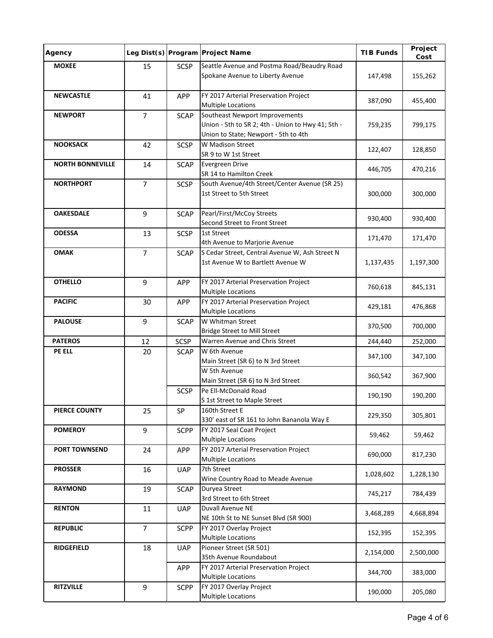| Agency                  |                |             | Leg Dist(s) Program Project Name                                                                                            | <b>TIB Funds</b> | Project<br>Cost |
|-------------------------|----------------|-------------|-----------------------------------------------------------------------------------------------------------------------------|------------------|-----------------|
| <b>MOXEE</b>            | 15             | <b>SCSP</b> | Seattle Avenue and Postma Road/Beaudry Road<br>Spokane Avenue to Liberty Avenue                                             | 147,498          | 155,262         |
| <b>NEWCASTLE</b>        | 41             | <b>APP</b>  | FY 2017 Arterial Preservation Project<br><b>Multiple Locations</b>                                                          | 387,090          | 455,400         |
| <b>NEWPORT</b>          | $\overline{7}$ | <b>SCAP</b> | Southeast Newport Improvements<br>Union - 5th to SR 2; 4th - Union to Hwy 41; 5th -<br>Union to State; Newport - 5th to 4th | 759,235          | 799,175         |
| <b>NOOKSACK</b>         | 42             | <b>SCSP</b> | W Madison Street<br>SR 9 to W 1st Street                                                                                    | 122,407          | 128,850         |
| <b>NORTH BONNEVILLE</b> | 14             | <b>SCAP</b> | Evergreen Drive<br>SR 14 to Hamilton Creek                                                                                  | 446,705          | 470,216         |
| <b>NORTHPORT</b>        | $\overline{7}$ | <b>SCSP</b> | South Avenue/4th Street/Center Avenue (SR 25)<br>1st Street to 5th Street                                                   | 300,000          | 300,000         |
| <b>OAKESDALE</b>        | 9              | <b>SCAP</b> | Pearl/First/McCoy Streets<br>Second Street to Front Street                                                                  | 930,400          | 930,400         |
| <b>ODESSA</b>           | 13             | <b>SCSP</b> | 1st Street<br>4th Avenue to Marjorie Avenue                                                                                 | 171,470          | 171,470         |
| <b>OMAK</b>             | $\overline{7}$ | <b>SCAP</b> | S Cedar Street, Central Avenue W, Ash Street N<br>1st Avenue W to Bartlett Avenue W                                         | 1,137,435        | 1,197,300       |
| <b>OTHELLO</b>          | $9\,$          | <b>APP</b>  | FY 2017 Arterial Preservation Project<br><b>Multiple Locations</b>                                                          | 760,618          | 845,131         |
| <b>PACIFIC</b>          | 30             | APP         | FY 2017 Arterial Preservation Project<br><b>Multiple Locations</b>                                                          | 429,181          | 476,868         |
| <b>PALOUSE</b>          | $9\,$          | <b>SCAP</b> | W Whitman Street<br><b>Bridge Street to Mill Street</b>                                                                     | 370,500          | 700,000         |
| <b>PATEROS</b>          | 12             | <b>SCSP</b> | Warren Avenue and Chris Street                                                                                              | 244,440          | 252,000         |
| PE ELL                  | 20             | <b>SCAP</b> | W 6th Avenue<br>Main Street (SR 6) to N 3rd Street                                                                          | 347,100          | 347,100         |
|                         |                |             | W 5th Avenue<br>Main Street (SR 6) to N 3rd Street                                                                          | 360,542          | 367,900         |
|                         |                | <b>SCSP</b> | Pe Ell-McDonald Road<br>S 1st Street to Maple Street                                                                        | 190,190          | 190,200         |
| <b>PIERCE COUNTY</b>    | 25             | SP          | 160th Street E<br>330' east of SR 161 to John Bananola Way E                                                                | 229,350          | 305,801         |
| <b>POMEROY</b>          | 9              | <b>SCPP</b> | FY 2017 Seal Coat Project<br><b>Multiple Locations</b>                                                                      | 59,462           | 59,462          |
| <b>PORT TOWNSEND</b>    | 24             | APP         | FY 2017 Arterial Preservation Project<br><b>Multiple Locations</b>                                                          | 690,000          | 817,230         |
| <b>PROSSER</b>          | 16             | <b>UAP</b>  | 7th Street<br>Wine Country Road to Meade Avenue                                                                             | 1,028,602        | 1,228,130       |
| <b>RAYMOND</b>          | 19             | <b>SCAP</b> | Duryea Street<br>3rd Street to 6th Street                                                                                   | 745,217          | 784,439         |
| <b>RENTON</b>           | 11             | <b>UAP</b>  | Duvall Avenue NE<br>NE 10th St to NE Sunset Blvd (SR 900)                                                                   | 3,468,289        | 4,668,894       |
| <b>REPUBLIC</b>         | $\overline{7}$ | <b>SCPP</b> | FY 2017 Overlay Project<br><b>Multiple Locations</b>                                                                        | 152,395          | 152,395         |
| <b>RIDGEFIELD</b>       | 18             | <b>UAP</b>  | Pioneer Street (SR 501)<br>35th Avenue Roundabout                                                                           | 2,154,000        | 2,500,000       |
|                         |                | APP         | FY 2017 Arterial Preservation Project<br><b>Multiple Locations</b>                                                          | 344,700          | 383,000         |
| <b>RITZVILLE</b>        | 9              | <b>SCPP</b> | FY 2017 Overlay Project<br><b>Multiple Locations</b>                                                                        | 190,000          | 205,080         |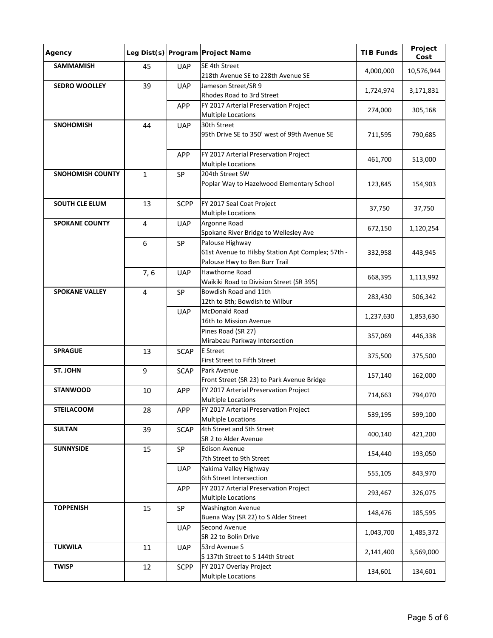| Agency                  |                  |             | Leg Dist(s) Program Project Name                                                                      | <b>TIB Funds</b> | Project<br>Cost |
|-------------------------|------------------|-------------|-------------------------------------------------------------------------------------------------------|------------------|-----------------|
| <b>SAMMAMISH</b>        | 45               | <b>UAP</b>  | SE 4th Street<br>218th Avenue SE to 228th Avenue SE                                                   | 4,000,000        | 10,576,944      |
| <b>SEDRO WOOLLEY</b>    | 39               | <b>UAP</b>  | Jameson Street/SR 9<br>Rhodes Road to 3rd Street                                                      | 1,724,974        | 3,171,831       |
|                         |                  | APP         | FY 2017 Arterial Preservation Project<br><b>Multiple Locations</b>                                    | 274,000          | 305,168         |
| <b>SNOHOMISH</b>        | 44               | <b>UAP</b>  | 30th Street<br>95th Drive SE to 350' west of 99th Avenue SE                                           | 711,595          | 790,685         |
|                         |                  | <b>APP</b>  | FY 2017 Arterial Preservation Project<br><b>Multiple Locations</b>                                    | 461,700          | 513,000         |
| <b>SNOHOMISH COUNTY</b> | $\mathbf{1}$     | SP          | 204th Street SW<br>Poplar Way to Hazelwood Elementary School                                          | 123,845          | 154,903         |
| <b>SOUTH CLE ELUM</b>   | 13               | <b>SCPP</b> | FY 2017 Seal Coat Project<br><b>Multiple Locations</b>                                                | 37,750           | 37,750          |
| <b>SPOKANE COUNTY</b>   | $\overline{4}$   | <b>UAP</b>  | Argonne Road<br>Spokane River Bridge to Wellesley Ave                                                 | 672,150          | 1,120,254       |
|                         | 6                | SP          | Palouse Highway<br>61st Avenue to Hilsby Station Apt Complex; 57th -<br>Palouse Hwy to Ben Burr Trail | 332,958          | 443,945         |
|                         | 7, 6             | <b>UAP</b>  | Hawthorne Road<br>Waikiki Road to Division Street (SR 395)                                            | 668,395          | 1,113,992       |
| <b>SPOKANE VALLEY</b>   | 4                | SP          | Bowdish Road and 11th<br>12th to 8th; Bowdish to Wilbur                                               | 283,430          | 506,342         |
|                         |                  | <b>UAP</b>  | <b>McDonald Road</b><br>16th to Mission Avenue                                                        | 1,237,630        | 1,853,630       |
|                         |                  |             | Pines Road (SR 27)<br>Mirabeau Parkway Intersection                                                   | 357,069          | 446,338         |
| <b>SPRAGUE</b>          | 13               | <b>SCAP</b> | <b>E</b> Street<br>First Street to Fifth Street                                                       | 375,500          | 375,500         |
| ST. JOHN                | $\boldsymbol{9}$ | <b>SCAP</b> | Park Avenue<br>Front Street (SR 23) to Park Avenue Bridge                                             | 157,140          | 162,000         |
| <b>STANWOOD</b>         | 10               | APP         | FY 2017 Arterial Preservation Project<br><b>Multiple Locations</b>                                    | 714,663          | 794,070         |
| <b>STEILACOOM</b>       | 28               | <b>APP</b>  | FY 2017 Arterial Preservation Project<br><b>Multiple Locations</b>                                    | 539,195          | 599,100         |
| <b>SULTAN</b>           | 39               | <b>SCAP</b> | 4th Street and 5th Street<br>SR 2 to Alder Avenue                                                     | 400,140          | 421,200         |
| <b>SUNNYSIDE</b>        | 15               | SP          | <b>Edison Avenue</b><br>7th Street to 9th Street                                                      | 154,440          | 193,050         |
|                         |                  | <b>UAP</b>  | Yakima Valley Highway<br>6th Street Intersection                                                      | 555,105          | 843,970         |
|                         |                  | APP         | FY 2017 Arterial Preservation Project<br><b>Multiple Locations</b>                                    | 293,467          | 326,075         |
| <b>TOPPENISH</b>        | 15               | SP          | <b>Washington Avenue</b><br>Buena Way (SR 22) to S Alder Street                                       | 148,476          | 185,595         |
|                         |                  | <b>UAP</b>  | Second Avenue<br>SR 22 to Bolin Drive                                                                 | 1,043,700        | 1,485,372       |
| <b>TUKWILA</b>          | 11               | <b>UAP</b>  | 53rd Avenue S<br>S 137th Street to S 144th Street                                                     | 2,141,400        | 3,569,000       |
| <b>TWISP</b>            | 12               | <b>SCPP</b> | FY 2017 Overlay Project<br><b>Multiple Locations</b>                                                  | 134,601          | 134,601         |